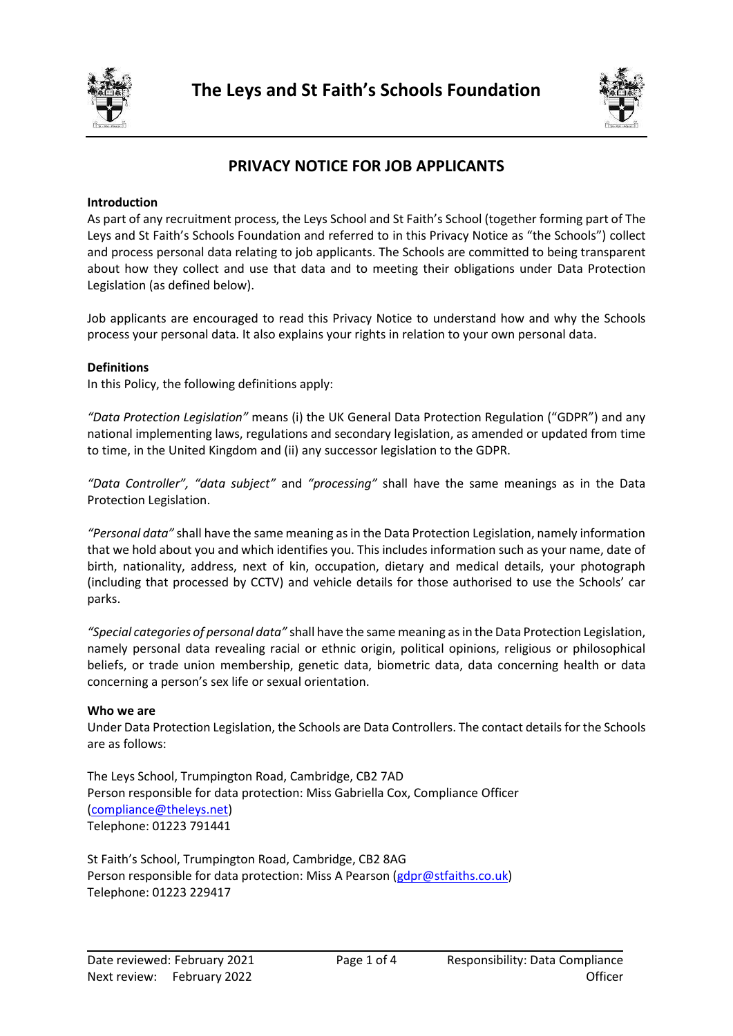



# **PRIVACY NOTICE FOR JOB APPLICANTS**

### **Introduction**

As part of any recruitment process, the Leys School and St Faith's School (together forming part of The Leys and St Faith's Schools Foundation and referred to in this Privacy Notice as "the Schools") collect and process personal data relating to job applicants. The Schools are committed to being transparent about how they collect and use that data and to meeting their obligations under Data Protection Legislation (as defined below).

Job applicants are encouraged to read this Privacy Notice to understand how and why the Schools process your personal data. It also explains your rights in relation to your own personal data.

#### **Definitions**

In this Policy, the following definitions apply:

*"Data Protection Legislation"* means (i) the UK General Data Protection Regulation ("GDPR") and any national implementing laws, regulations and secondary legislation, as amended or updated from time to time, in the United Kingdom and (ii) any successor legislation to the GDPR.

*"Data Controller", "data subject"* and *"processing"* shall have the same meanings as in the Data Protection Legislation.

*"Personal data"* shall have the same meaning as in the Data Protection Legislation, namely information that we hold about you and which identifies you. This includes information such as your name, date of birth, nationality, address, next of kin, occupation, dietary and medical details, your photograph (including that processed by CCTV) and vehicle details for those authorised to use the Schools' car parks.

*"Special categories of personal data"* shall have the same meaning as in the Data Protection Legislation, namely personal data revealing racial or ethnic origin, political opinions, religious or philosophical beliefs, or trade union membership, genetic data, biometric data, data concerning health or data concerning a person's sex life or sexual orientation.

#### **Who we are**

Under Data Protection Legislation, the Schools are Data Controllers. The contact details for the Schools are as follows:

The Leys School, Trumpington Road, Cambridge, CB2 7AD Person responsible for data protection: Miss Gabriella Cox, Compliance Officer [\(compliance@theleys.net\)](mailto:compliance@theleys.net) Telephone: 01223 791441

St Faith's School, Trumpington Road, Cambridge, CB2 8AG Person responsible for data protection: Miss A Pearson [\(gdpr@stfaiths.co.uk\)](mailto:gdpr@stfaiths.co.uk) Telephone: 01223 229417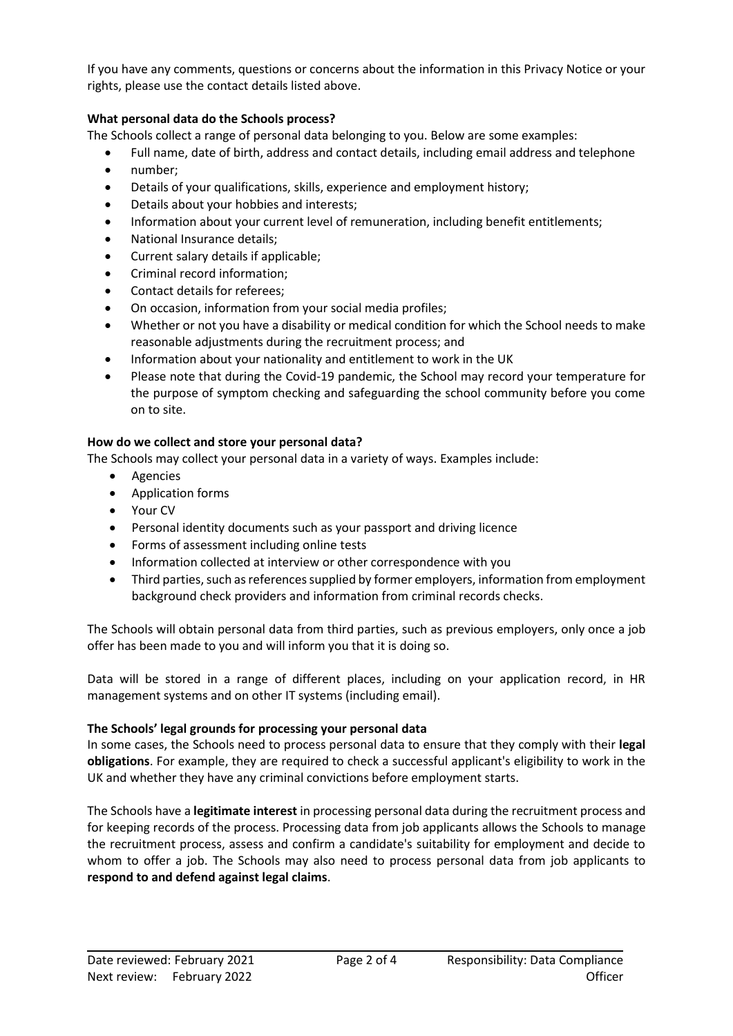If you have any comments, questions or concerns about the information in this Privacy Notice or your rights, pleas[e use](mailto:use) the contact details listed above.

## **What personal data do the Schools process?**

The Schools collect a range of personal data belonging to you. Below are some examples:

- Full name, date of birth, address and contact details, including email address and telephone
- number;
- Details of your qualifications, skills, experience and employment history;
- Details about your hobbies and interests;
- Information about your current level of remuneration, including benefit entitlements;
- National Insurance details;
- Current salary details if applicable;
- Criminal record information;
- Contact details for referees;
- On occasion, information from your social media profiles;
- Whether or not you have a disability or medical condition for which the School needs to make reasonable adjustments during the recruitment process; and
- Information about your nationality and entitlement to work in the UK
- Please note that during the Covid-19 pandemic, the School may record your temperature for the purpose of symptom checking and safeguarding the school community before you come on to site.

# **How do we collect and store your personal data?**

The Schools may collect your personal data in a variety of ways. Examples include:

- Agencies
- Application forms
- Your CV
- Personal identity documents such as your passport and driving licence
- Forms of assessment including online tests
- Information collected at interview or other correspondence with you
- Third parties, such as references supplied by former employers, information from employment background check providers and information from criminal records checks.

The Schools will obtain personal data from third parties, such as previous employers, only once a job offer has been made to you and will inform you that it is doing so.

Data will be stored in a range of different places, including on your application record, in HR management systems and on other IT systems (including email).

### **The Schools' legal grounds for processing your personal data**

In some cases, the Schools need to process personal data to ensure that they comply with their **legal obligations**. For example, they are required to check a successful applicant's eligibility to work in the UK and whether they have any criminal convictions before employment starts.

The Schools have a **legitimate interest** in processing personal data during the recruitment process and for keeping records of the process. Processing data from job applicants allows the Schools to manage the recruitment process, assess and confirm a candidate's suitability for employment and decide to whom to offer a job. The Schools may also need to process personal data from job applicants to **respond to and defend against legal claims**.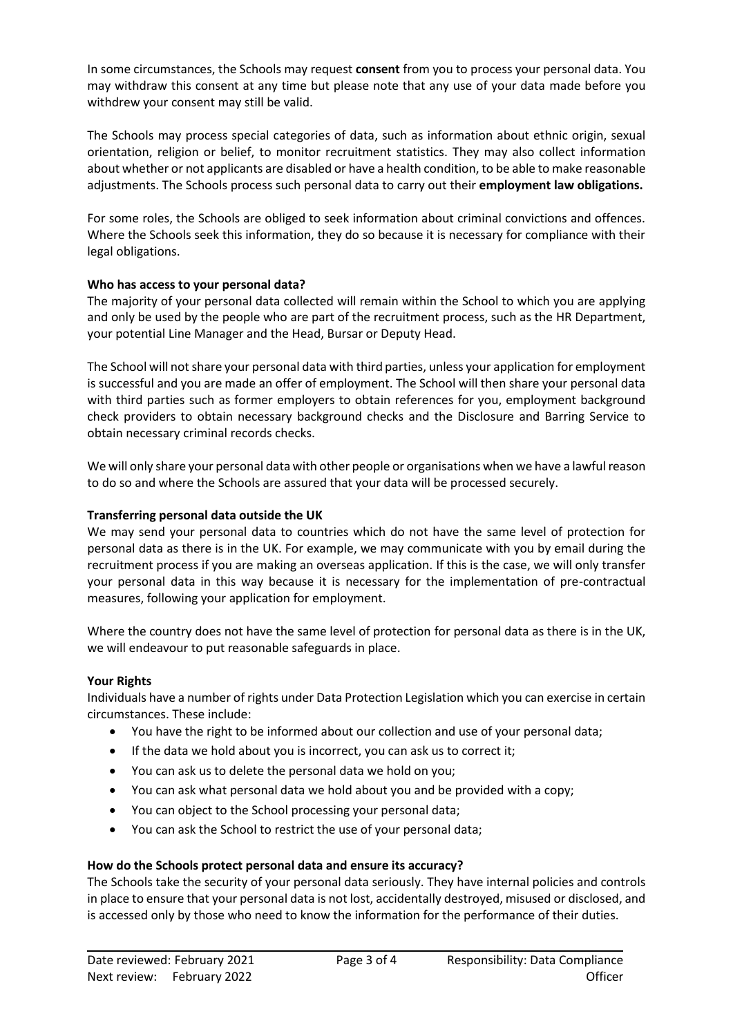In some circumstances, the Schools may request **consent** from you to process your personal data. You may withdraw this consent at any time but please note that any use of your data made before you withdrew your consent may still be valid.

The Schools may process special categories of data, such as information about ethnic origin, sexual orientation, religion or belief, to monitor recruitment statistics. They may also collect information about whether or not applicants are disabled or have a health condition, to be able to make reasonable adjustments. The Schools process such personal data to carry out their **employment law obligations.**

For some roles, the Schools are obliged to seek information about criminal convictions and offences. Where the Schools seek this information, they do so because it is necessary for compliance with their legal obligations.

# **Who has access to your personal data?**

The majority of your personal data collected will remain within the School to which you are applying and only be used by the people who are part of the recruitment process, such as the HR Department, your potential Line Manager and the Head, Bursar or Deputy Head.

The School will not share your personal data with third parties, unless your application for employment is successful and you are made an offer of employment. The School will then share your personal data with third parties such as former employers to obtain references for you, employment background check providers to obtain necessary background checks and the Disclosure and Barring Service to obtain necessary criminal records checks.

We will only share your personal data with other people or organisations when we have a lawful reason to do so and where the Schools are assured that your data will be processed securely.

### **Transferring personal data outside the UK**

We may send your personal data to countries which do not have the same level of protection for personal data as there is in the UK. For example, we may communicate with you by email during the recruitment process if you are making an overseas application. If this is the case, we will only transfer your personal data in this way because it is necessary for the implementation of pre-contractual measures, following your application for employment.

Where the country does not have the same level of protection for personal data as there is in the UK, we will endeavour to put reasonable safeguards in place.

### **Your Rights**

Individuals have a number of rights under Data Protection Legislation which you can exercise in certain circumstances. These include:

- You have the right to be informed about our collection and use of your personal data;
- If the data we hold about you is incorrect, you can ask us to correct it;
- You can ask us to delete the personal data we hold on you;
- You can ask what personal data we hold about you and be provided with a copy;
- You can object to the School processing your personal data;
- You can ask the School to restrict the use of your personal data;

### **How do the Schools protect personal data and ensure its accuracy?**

The Schools take the security of your personal data seriously. They have internal policies and controls in place to ensure that your personal data is not lost, accidentally destroyed, misused or disclosed, and is accessed only by those who need to know the information for the performance of their duties.